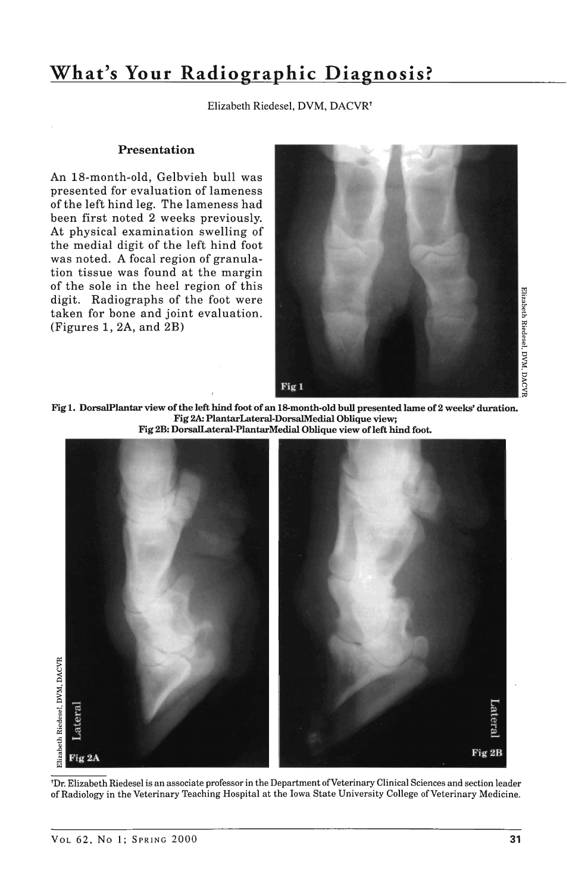# **What's Your Radiographic Diagnosis?**

Elizabeth Riedesel, DVM, DACVR<sup>+</sup>

#### Presentation

An 18-month-old, Gelbvieh bull was presented for evaluation of lameness of the left hind leg. The lameness had been first noted 2 weeks previously. At physical examination swelling of the medial digit of the left hind foot was noted. A focal region of granulation tissue was found at the margin of the sole in the heel region of this digit. Radiographs of the foot were taken for bone and joint evaluation. (Figures 1, 2A, and 2B)



Fig 1. DorsalPlantar view of the left hind foot of an 18-month·old bull presented lame of 2 weeks' duration. Fig 2A: PlantarLateral·DorsalMedial Oblique view; Fig 2B: DorsalLateral-PlantarMedial Oblique view of left hind foot.



'Dr. Elizabeth Riedesel is an associate professor in the Department of Veterinary Clinical Sciences and section leader of Radiology in the Veterinary Teaching Hospital at the Iowa State University College of Veterinary Medicine.